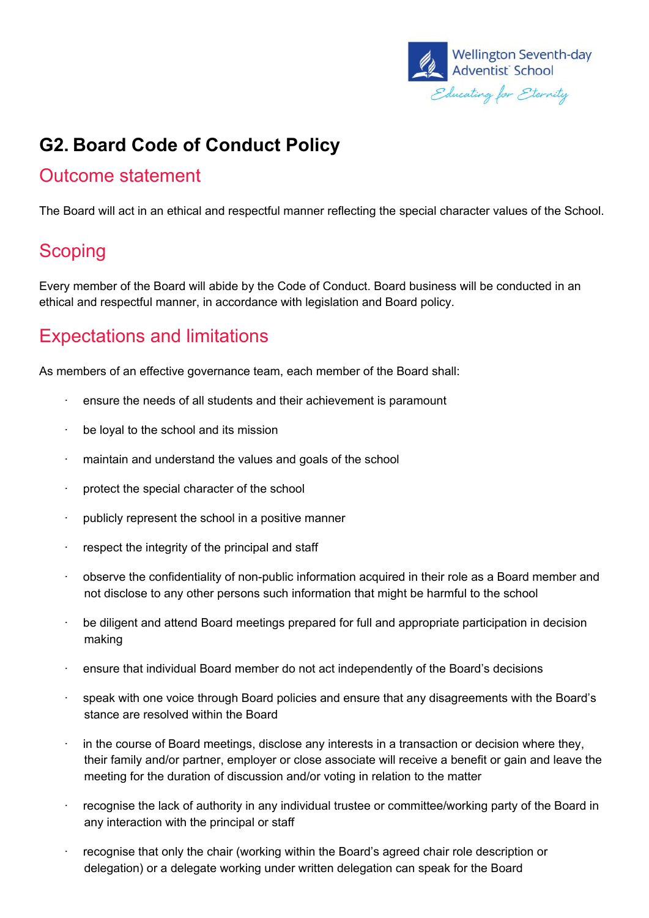

# **G2. Board Code of Conduct Policy**

#### Outcome statement

The Board will act in an ethical and respectful manner reflecting the special character values of the School.

### **Scoping**

Every member of the Board will abide by the Code of Conduct. Board business will be conducted in an ethical and respectful manner, in accordance with legislation and Board policy.

# Expectations and limitations

As members of an effective governance team, each member of the Board shall:

- $\cdot$  ensure the needs of all students and their achievement is paramount
- · be loyal to the school and its mission
- · maintain and understand the values and goals of the school
- protect the special character of the school
- · publicly represent the school in a positive manner
- respect the integrity of the principal and staff
- · observe the confidentiality of non-public information acquired in their role as a Board member and not disclose to any other persons such information that might be harmful to the school
- be diligent and attend Board meetings prepared for full and appropriate participation in decision making
- · ensure that individual Board member do not act independently of the Board's decisions
- · speak with one voice through Board policies and ensure that any disagreements with the Board's stance are resolved within the Board
- in the course of Board meetings, disclose any interests in a transaction or decision where they, their family and/or partner, employer or close associate will receive a benefit or gain and leave the meeting for the duration of discussion and/or voting in relation to the matter
- recognise the lack of authority in any individual trustee or committee/working party of the Board in any interaction with the principal or staff
- · recognise that only the chair (working within the Board's agreed chair role description or delegation) or a delegate working under written delegation can speak for the Board